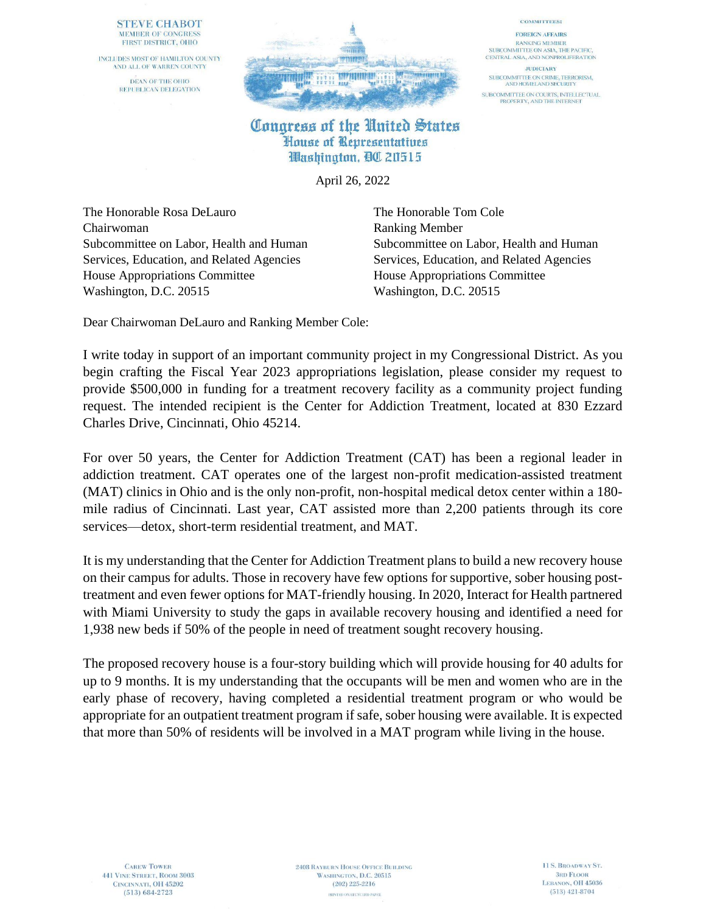## **STEVE CHABOT** MEMBER OF CONGRESS FIRST DISTRICT, OHIO

INCLUDES MOST OF HAMILTON COUNTY AND ALL OF WARREN COUNTY DEAN OF THE OHIO REPUBLICAN DELEGATION



## **COMMITTEES: FOREIGN AFFAIRS RANKING MEMBER** SUBCOMMITTEE ON ASIA, THE PACIFIC. CENTRAL ASIA, AND NONPROLIFERATION **JUDICIARY**

SUBCOMMITTEE ON CRIME, TERRORISM,<br>AND HOMELAND SECURITY SUBCOMMITTEE ON COURTS, INTELLECTUAL<br>PROPERTY, AND THE INTERNET

## Congress of the United States House of Representatives Washington, QC 20515

April 26, 2022

The Honorable Rosa DeLauro The Honorable Tom Cole Chairwoman Ranking Member Services, Education, and Related Agencies Services, Education, and Related Agencies House Appropriations Committee House Appropriations Committee Washington, D.C. 20515 Washington, D.C. 20515

Subcommittee on Labor, Health and Human Subcommittee on Labor, Health and Human

Dear Chairwoman DeLauro and Ranking Member Cole:

I write today in support of an important community project in my Congressional District. As you begin crafting the Fiscal Year 2023 appropriations legislation, please consider my request to provide \$500,000 in funding for a treatment recovery facility as a community project funding request. The intended recipient is the Center for Addiction Treatment, located at 830 Ezzard Charles Drive, Cincinnati, Ohio 45214.

For over 50 years, the Center for Addiction Treatment (CAT) has been a regional leader in addiction treatment. CAT operates one of the largest non-profit medication-assisted treatment (MAT) clinics in Ohio and is the only non-profit, non-hospital medical detox center within a 180 mile radius of Cincinnati. Last year, CAT assisted more than 2,200 patients through its core services—detox, short-term residential treatment, and MAT.

It is my understanding that the Center for Addiction Treatment plans to build a new recovery house on their campus for adults. Those in recovery have few options for supportive, sober housing posttreatment and even fewer options for MAT-friendly housing. In 2020, Interact for Health partnered with Miami University to study the gaps in available recovery housing and identified a need for 1,938 new beds if 50% of the people in need of treatment sought recovery housing.

The proposed recovery house is a four-story building which will provide housing for 40 adults for up to 9 months. It is my understanding that the occupants will be men and women who are in the early phase of recovery, having completed a residential treatment program or who would be appropriate for an outpatient treatment program if safe, sober housing were available. It is expected that more than 50% of residents will be involved in a MAT program while living in the house.

**CAREW TOWER 441 VINE STREET, ROOM 3003** CINCINNATI, OH 45202  $(513) 684 - 2723$ 

**2408 RAYBURN HOUSE OFFICE BUILDING** WASHINGTON, D.C. 20515  $(202)$  225-2216 PRINTED ON RECYCLED PAPER.

11 S. BROADWAY ST. **3RD FLOOR** LEBANON, OH 45036  $(513)$  421-8704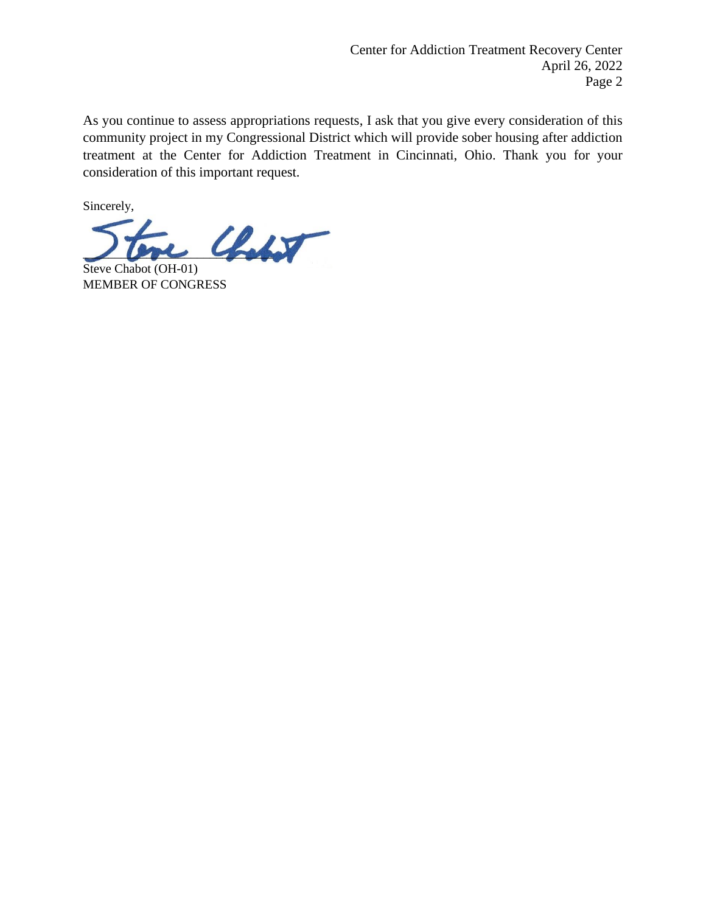As you continue to assess appropriations requests, I ask that you give every consideration of this community project in my Congressional District which will provide sober housing after addiction treatment at the Center for Addiction Treatment in Cincinnati, Ohio. Thank you for your consideration of this important request.

Sincerely,

 $\mathcal{C}$ 

Steve Chabot (OH-01) MEMBER OF CONGRESS